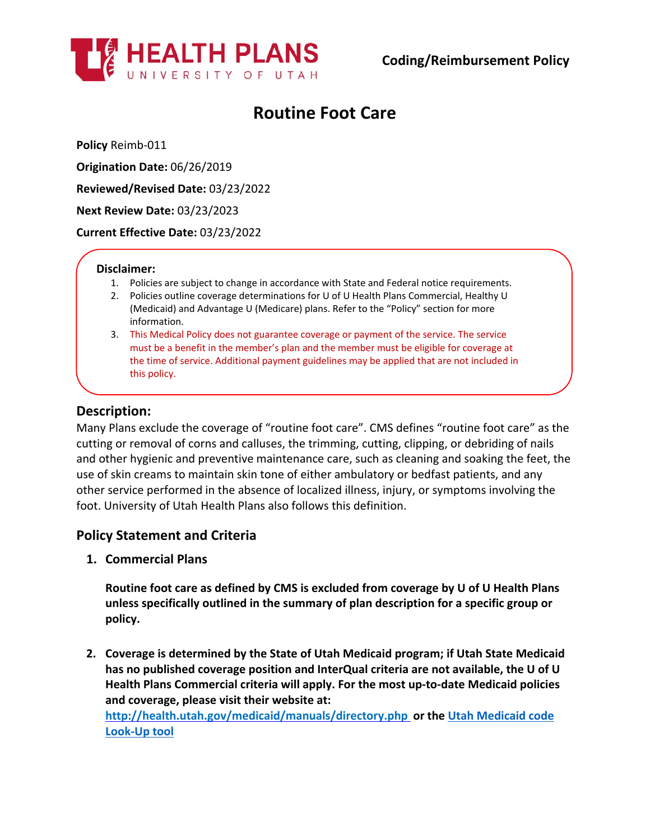

# **Routine Foot Care**

**Policy** Reimb-011

**Origination Date:** 06/26/2019

**Reviewed/Revised Date:** 03/23/2022

**Next Review Date:** 03/23/2023

**Current Effective Date:** 03/23/2022

#### **Disclaimer:**

- 1. Policies are subject to change in accordance with State and Federal notice requirements.
- 2. Policies outline coverage determinations for U of U Health Plans Commercial, Healthy U (Medicaid) and Advantage U (Medicare) plans. Refer to the "Policy" section for more information.
- 3. This Medical Policy does not guarantee coverage or payment of the service. The service must be a benefit in the member's plan and the member must be eligible for coverage at the time of service. Additional payment guidelines may be applied that are not included in this policy.

# **Description:**

Many Plans exclude the coverage of "routine foot care". CMS defines "routine foot care" as the cutting or removal of corns and calluses, the trimming, cutting, clipping, or debriding of nails and other hygienic and preventive maintenance care, such as cleaning and soaking the feet, the use of skin creams to maintain skin tone of either ambulatory or bedfast patients, and any other service performed in the absence of localized illness, injury, or symptoms involving the foot. University of Utah Health Plans also follows this definition.

## **Policy Statement and Criteria**

**1. Commercial Plans**

**Routine foot care as defined by CMS is excluded from coverage by U of U Health Plans unless specifically outlined in the summary of plan description for a specific group or policy.**

**2. Coverage is determined by the State of Utah Medicaid program; if Utah State Medicaid has no published coverage position and InterQual criteria are not available, the U of U Health Plans Commercial criteria will apply. For the most up-to-date Medicaid policies and coverage, please visit their website at:**

**<http://health.utah.gov/medicaid/manuals/directory.php> or the [Utah Medicaid code](https://health.utah.gov/stplan/lookup/CoverageLookup.php)  [Look-Up tool](https://health.utah.gov/stplan/lookup/CoverageLookup.php)**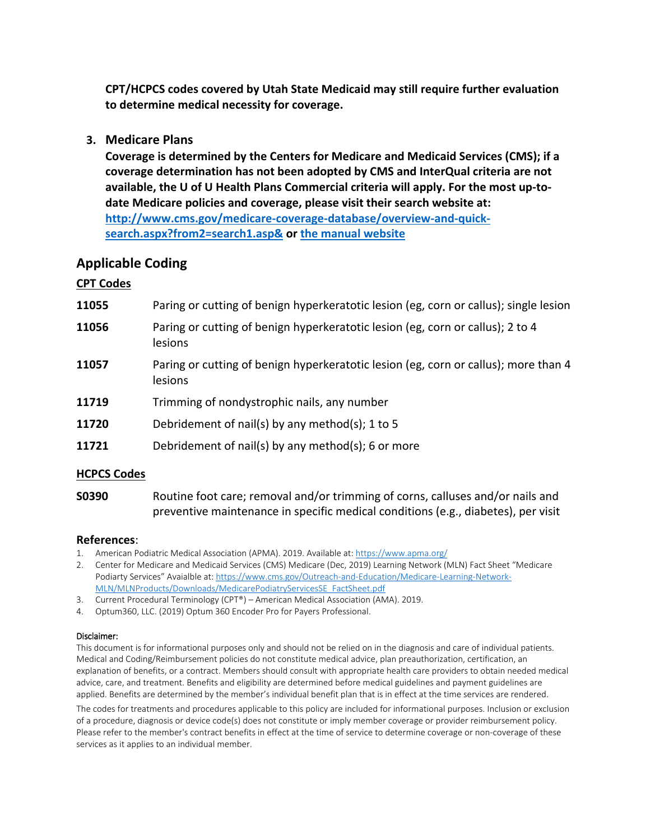**CPT/HCPCS codes covered by Utah State Medicaid may still require further evaluation to determine medical necessity for coverage.**

**3. Medicare Plans**

**Coverage is determined by the Centers for Medicare and Medicaid Services (CMS); if a coverage determination has not been adopted by CMS and InterQual criteria are not available, the U of U Health Plans Commercial criteria will apply. For the most up-todate Medicare policies and coverage, please visit their search website at: [http://www.cms.gov/medicare-coverage-database/overview-and-quick](http://www.cms.gov/medicare-coverage-database/overview-and-quick-search.aspx?from2=search1.asp&)[search.aspx?from2=search1.asp&](http://www.cms.gov/medicare-coverage-database/overview-and-quick-search.aspx?from2=search1.asp&) or [the manual website](https://www.cms.gov/Regulations-and-Guidance/Guidance/Manuals/Internet-Only-Manuals-IOMs)**

# **Applicable Coding**

## **CPT Codes**

- **11055** Paring or cutting of benign hyperkeratotic lesion (eg, corn or callus); single lesion
- **11056** Paring or cutting of benign hyperkeratotic lesion (eg, corn or callus); 2 to 4 lesions
- **11057** Paring or cutting of benign hyperkeratotic lesion (eg, corn or callus); more than 4 lesions
- **11719** Trimming of nondystrophic nails, any number
- **11720** Debridement of nail(s) by any method(s); 1 to 5
- **11721** Debridement of nail(s) by any method(s); 6 or more

### **HCPCS Codes**

**S0390** Routine foot care; removal and/or trimming of corns, calluses and/or nails and preventive maintenance in specific medical conditions (e.g., diabetes), per visit

#### **References**:

- 1. American Podiatric Medical Association (APMA). 2019. Available at[: https://www.apma.org/](https://www.apma.org/)
- 2. Center for Medicare and Medicaid Services (CMS) Medicare (Dec, 2019) Learning Network (MLN) Fact Sheet "Medicare Podiarty Services" Avaialble at[: https://www.cms.gov/Outreach-and-Education/Medicare-Learning-Network-](https://www.cms.gov/Outreach-and-Education/Medicare-Learning-Network-MLN/MLNProducts/Downloads/MedicarePodiatryServicesSE_FactSheet.pdf)[MLN/MLNProducts/Downloads/MedicarePodiatryServicesSE\\_FactSheet.pdf](https://www.cms.gov/Outreach-and-Education/Medicare-Learning-Network-MLN/MLNProducts/Downloads/MedicarePodiatryServicesSE_FactSheet.pdf)
- 3. Current Procedural Terminology (CPT®) American Medical Association (AMA). 2019.
- 4. Optum360, LLC. (2019) Optum 360 Encoder Pro for Payers Professional.

#### Disclaimer:

This document is for informational purposes only and should not be relied on in the diagnosis and care of individual patients. Medical and Coding/Reimbursement policies do not constitute medical advice, plan preauthorization, certification, an explanation of benefits, or a contract. Members should consult with appropriate health care providers to obtain needed medical advice, care, and treatment. Benefits and eligibility are determined before medical guidelines and payment guidelines are applied. Benefits are determined by the member's individual benefit plan that is in effect at the time services are rendered.

The codes for treatments and procedures applicable to this policy are included for informational purposes. Inclusion or exclusion of a procedure, diagnosis or device code(s) does not constitute or imply member coverage or provider reimbursement policy. Please refer to the member's contract benefits in effect at the time of service to determine coverage or non-coverage of these services as it applies to an individual member.